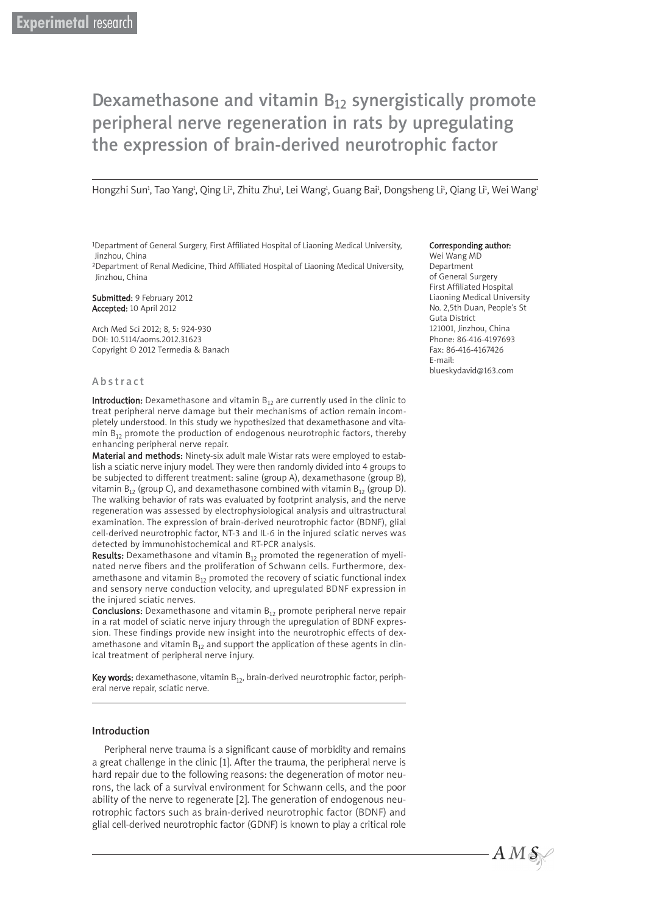# Dexamethasone and vitamin  $B_{12}$  synergistically promote peripheral nerve regeneration in rats by upregulating the expression of brain-derived neurotrophic factor

Hongzhi Sun<sup>ı</sup>, Tao Yang<sup>ı</sup>, Qing Li<sup>2</sup>, Zhitu Zhu<sup>1</sup>, Lei Wang<sup>ı</sup>, Guang Bai<sup>1</sup>, Dongsheng Li<sup>1</sup>, Qiang Li<sup>1</sup>, Wei Wang<sup>ı</sup>

1Department of General Surgery, First Affiliated Hospital of Liaoning Medical University, Jinzhou, China

2Department of Renal Medicine, Third Affiliated Hospital of Liaoning Medical University, Jinzhou, China

Submitted: 9 February 2012 Accepted: 10 April 2012

Arch Med Sci 2012; 8, 5: 924-930 DOI: 10.5114/aoms.2012.31623 Copyright © 2012 Termedia & Banach

#### Abstract

**Introduction:** Dexamethasone and vitamin  $B_{12}$  are currently used in the clinic to treat peripheral nerve damage but their mechanisms of action remain incompletely understood. In this study we hypothesized that dexamethasone and vitamin  $B_{12}$  promote the production of endogenous neurotrophic factors, thereby enhancing peripheral nerve repair.

Material and methods: Ninety-six adult male Wistar rats were employed to establish a sciatic nerve injury model. They were then randomly divided into 4 groups to be subjected to different treatment: saline (group A), dexamethasone (group B), vitamin  $B_{12}$  (group C), and dexamethasone combined with vitamin  $B_{12}$  (group D). The walking behavior of rats was evaluated by footprint analysis, and the nerve regeneration was assessed by electrophysiological analysis and ultrastructural examination. The expression of brain-derived neurotrophic factor (BDNF), glial cell-derived neurotrophic factor, NT-3 and IL-6 in the injured sciatic nerves was detected by immunohistochemical and RT-PCR analysis.

Results: Dexamethasone and vitamin  $B_{12}$  promoted the regeneration of myelinated nerve fibers and the proliferation of Schwann cells. Furthermore, dexamethasone and vitamin  $B_{12}$  promoted the recovery of sciatic functional index and sensory nerve conduction velocity, and upregulated BDNF expression in the injured sciatic nerves.

**Conclusions:** Dexamethasone and vitamin  $B_{12}$  promote peripheral nerve repair in a rat model of sciatic nerve injury through the upregulation of BDNF expression. These findings provide new insight into the neurotrophic effects of dexamethasone and vitamin  $B_{12}$  and support the application of these agents in clinical treatment of peripheral nerve injury.

Key words: dexamethasone, vitamin  $B_{12}$ , brain-derived neurotrophic factor, peripheral nerve repair, sciatic nerve.

#### Introduction

Peripheral nerve trauma is a significant cause of morbidity and remains a great challenge in the clinic [1]. After the trauma, the peripheral nerve is hard repair due to the following reasons: the degeneration of motor neurons, the lack of a survival environment for Schwann cells, and the poor ability of the nerve to regenerate [2]. The generation of endogenous neurotrophic factors such as brain-derived neurotrophic factor (BDNF) and glial cell-derived neurotrophic factor (GDNF) is known to play a critical role

#### Corresponding author:

Wei Wang MD Department of General Surgery First Affiliated Hospital Liaoning Medical University No. 2,5th Duan, People's St Guta District 121001, Jinzhou, China Phone: 86-416-4197693 Fax: 86-416-4167426 E-mail: blueskydavid@163.com

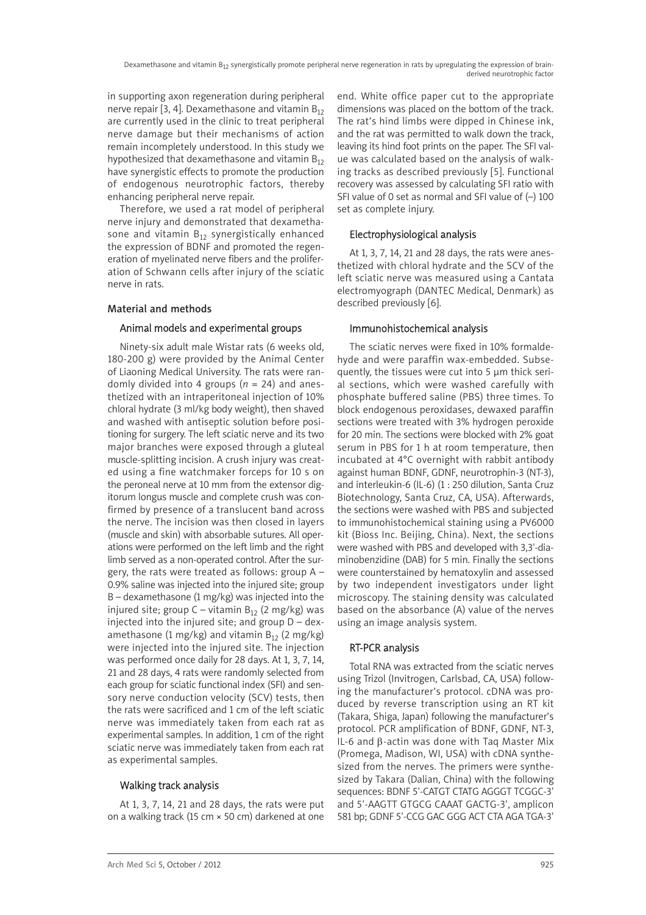in supporting axon regeneration during peripheral nerve repair [3, 4]. Dexamethasone and vitamin  $B_{12}$ are currently used in the clinic to treat peripheral nerve damage but their mechanisms of action remain incompletely understood. In this study we hypothesized that dexamethasone and vitamin  $B_{12}$ have synergistic effects to promote the production of endogenous neurotrophic factors, thereby enhancing peripheral nerve repair.

Therefore, we used a rat model of peripheral nerve injury and demonstrated that dexamethasone and vitamin  $B_{12}$  synergistically enhanced the expression of BDNF and promoted the regeneration of myelinated nerve fibers and the proliferation of Schwann cells after injury of the sciatic nerve in rats.

# Material and methods

## Animal models and experimental groups

Ninety-six adult male Wistar rats (6 weeks old, 180-200 g) were provided by the Animal Center of Liaoning Medical University. The rats were randomly divided into 4 groups (*n* = 24) and anesthetized with an intraperitoneal injection of 10% chloral hydrate (3 ml/kg body weight), then shaved and washed with antiseptic solution before positioning for surgery. The left sciatic nerve and its two major branches were exposed through a gluteal muscle-splitting incision. A crush injury was created using a fine watchmaker forceps for 10 s on the peroneal nerve at 10 mm from the extensor digitorum longus muscle and complete crush was confirmed by presence of a translucent band across the nerve. The incision was then closed in layers (muscle and skin) with absorbable sutures. All operations were performed on the left limb and the right limb served as a non-operated control. After the surgery, the rats were treated as follows: group A – 0.9% saline was injected into the injured site; group B – dexamethasone (1 mg/kg) was injected into the injured site; group C – vitamin  $B_{12}$  (2 mg/kg) was injected into the injured site; and group  $D -$  dexamethasone (1 mg/kg) and vitamin  $B_{12}$  (2 mg/kg) were injected into the injured site. The injection was performed once daily for 28 days. At 1, 3, 7, 14, 21 and 28 days, 4 rats were randomly selected from each group for sciatic functional index (SFI) and sensory nerve conduction velocity (SCV) tests, then the rats were sacrificed and 1 cm of the left sciatic nerve was immediately taken from each rat as experimental samples. In addition, 1 cm of the right sciatic nerve was immediately taken from each rat as experimental samples.

# Walking track analysis

At 1, 3, 7, 14, 21 and 28 days, the rats were put on a walking track (15 cm × 50 cm) darkened at one end. White office paper cut to the appropriate dimensions was placed on the bottom of the track. The rat's hind limbs were dipped in Chinese ink, and the rat was permitted to walk down the track, leaving its hind foot prints on the paper. The SFI value was calculated based on the analysis of walking tracks as described previously [5]. Functional recovery was assessed by calculating SFI ratio with SFI value of 0 set as normal and SFI value of (–) 100 set as complete injury.

# Electrophysiological analysis

At 1, 3, 7, 14, 21 and 28 days, the rats were anesthetized with chloral hydrate and the SCV of the left sciatic nerve was measured using a Cantata electromyograph (DANTEC Medical, Denmark) as described previously [6].

# Immunohistochemical analysis

The sciatic nerves were fixed in 10% formaldehyde and were paraffin wax-embedded. Subsequently, the tissues were cut into 5 μm thick serial sections, which were washed carefully with phosphate buffered saline (PBS) three times. To block endogenous peroxidases, dewaxed paraffin sections were treated with 3% hydrogen peroxide for 20 min. The sections were blocked with 2% goat serum in PBS for 1 h at room temperature, then incubated at 4°C overnight with rabbit antibody against human BDNF, GDNF, neurotrophin-3 (NT-3), and interleukin-6 (IL-6) (1 : 250 dilution, Santa Cruz Biotechnology, Santa Cruz, CA, USA). Afterwards, the sections were washed with PBS and subjected to immunohistochemical staining using a PV6000 kit (Bioss Inc. Beijing, China). Next, the sections were washed with PBS and developed with 3,3'-diaminobenzidine (DAB) for 5 min. Finally the sections were counterstained by hematoxylin and assessed by two independent investigators under light microscopy. The staining density was calculated based on the absorbance (A) value of the nerves using an image analysis system.

# RT-PCR analysis

Total RNA was extracted from the sciatic nerves using Trizol (Invitrogen, Carlsbad, CA, USA) following the manufacturer's protocol. cDNA was produced by reverse transcription using an RT kit (Takara, Shiga, Japan) following the manufacturer's protocol. PCR amplification of BDNF, GDNF, NT-3, IL-6 and β-actin was done with Taq Master Mix (Promega, Madison, WI, USA) with cDNA synthesized from the nerves. The primers were synthesized by Takara (Dalian, China) with the following sequences: BDNF 5'-CATGT CTATG AGGGT TCGGC-3' and 5'-AAGTT GTGCG CAAAT GACTG-3', amplicon 581 bp; GDNF 5'-CCG GAC GGG ACT CTA AGA TGA-3'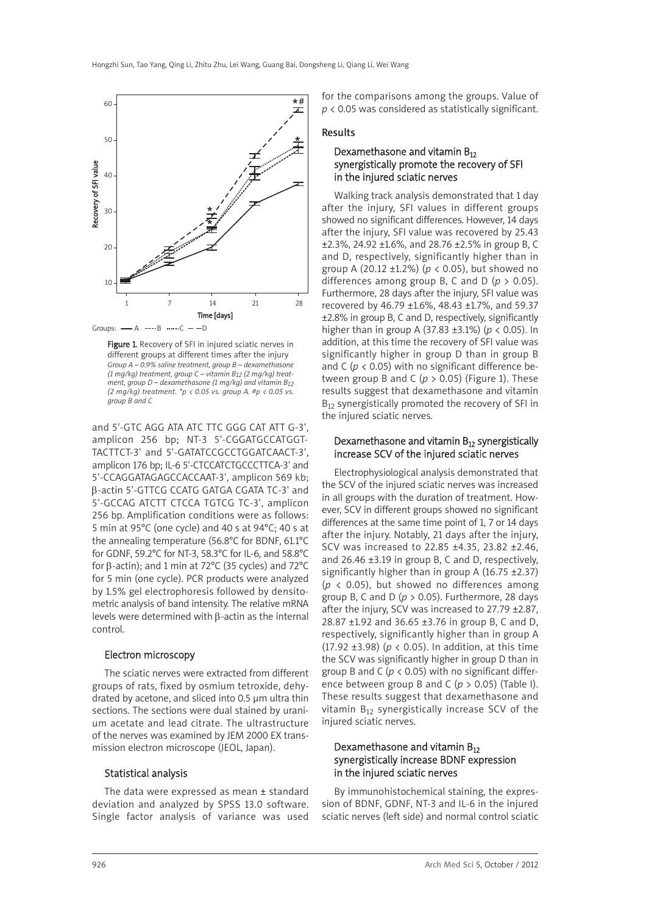

Groups:  $-A$  ---- $B$  ...... $C$  --D

Figure 1. Recovery of SFI in injured sciatic nerves in different groups at different times after the injury *Group A – 0.9% saline treatment, group B – dexamethasone (1 mg/kg) treatment, group C – vitamin B12 (2 mg/kg) treatment, group D – dexamethasone (1 mg/kg) and vitamin B12 (2 mg/kg) treatment. \*p < 0.05 vs. group A. #p < 0.05 vs. group B and C*

and 5'-GTC AGG ATA ATC TTC GGG CAT ATT G-3', amplicon 256 bp; NT-3 5'-CGGATGCCATGGT-TACTTCT-3' and 5'-GATATCCGCCTGGATCAACT-3', amplicon 176 bp; IL-6 5'-CTCCATCTGCCCTTCA-3' and 5'-CCAGGATAGAGCCACCAAT-3', amplicon 569 kb; β-actin 5'-GTTCG CCATG GATGA CGATA TC-3' and 5'-GCCAG ATCTT CTCCA TGTCG TC-3', amplicon 256 bp. Amplification conditions were as follows: 5 min at 95°C (one cycle) and 40 s at 94°C; 40 s at the annealing temperature (56.8°C for BDNF, 61.1°C for GDNF, 59.2°C for NT-3, 58.3°C for IL-6, and 58.8°C for β-actin); and 1 min at 72°C (35 cycles) and 72°C for 5 min (one cycle). PCR products were analyzed by 1.5% gel electrophoresis followed by densitometric analysis of band intensity. The relative mRNA levels were determined with β-actin as the internal control.

#### Electron microscopy

The sciatic nerves were extracted from different groups of rats, fixed by osmium tetroxide, dehydrated by acetone, and sliced into 0.5 μm ultra thin sections. The sections were dual stained by uranium acetate and lead citrate. The ultrastructure of the nerves was examined by JEM 2000 EX transmission electron microscope (JEOL, Japan).

## Statistical analysis

The data were expressed as mean ± standard deviation and analyzed by SPSS 13.0 software. Single factor analysis of variance was used for the comparisons among the groups. Value of *p* < 0.05 was considered as statistically significant.

#### Results

## Dexamethasone and vitamin  $B_{12}$ synergistically promote the recovery of SFI in the injured sciatic nerves

Walking track analysis demonstrated that 1 day after the injury, SFI values in different groups showed no significant differences. However, 14 days after the injury, SFI value was recovered by 25.43 ±2.3%, 24.92 ±1.6%, and 28.76 ±2.5% in group B, C and D, respectively, significantly higher than in group A (20.12 ±1.2%) (*p* < 0.05), but showed no differences among group B, C and D (*p* > 0.05). Furthermore, 28 days after the injury, SFI value was recovered by 46.79 ±1.6%, 48.43 ±1.7%, and 59.37 ±2.8% in group B, C and D, respectively, significantly higher than in group A (37.83 ±3.1%) (*p* < 0.05). In addition, at this time the recovery of SFI value was significantly higher in group D than in group B and C ( $p$  < 0.05) with no significant difference between group B and C ( $p > 0.05$ ) (Figure 1). These results suggest that dexamethasone and vitamin  $B_{12}$  synergistically promoted the recovery of SFI in the injured sciatic nerves.

#### Dexamethasone and vitamin  $B_{12}$  synergistically increase SCV of the injured sciatic nerves

Electrophysiological analysis demonstrated that the SCV of the injured sciatic nerves was increased in all groups with the duration of treatment. However, SCV in different groups showed no significant differences at the same time point of 1, 7 or 14 days after the injury. Notably, 21 days after the injury, SCV was increased to 22.85 ±4.35, 23.82 ±2.46, and 26.46 ±3.19 in group B, C and D, respectively, significantly higher than in group A (16.75  $\pm$ 2.37)  $(p \lt 0.05)$ , but showed no differences among group B, C and D ( $p > 0.05$ ). Furthermore, 28 days after the injury, SCV was increased to 27.79 ±2.87, 28.87 ±1.92 and 36.65 ±3.76 in group B, C and D, respectively, significantly higher than in group A (17.92 ±3.98) (*p* < 0.05). In addition, at this time the SCV was significantly higher in group D than in group B and C ( $p < 0.05$ ) with no significant difference between group B and C (*p* > 0.05) (Table I). These results suggest that dexamethasone and vitamin  $B_{12}$  synergistically increase SCV of the injured sciatic nerves.

## Dexamethasone and vitamin  $B_{12}$ synergistically increase BDNF expression in the injured sciatic nerves

By immunohistochemical staining, the expression of BDNF, GDNF, NT-3 and IL-6 in the injured sciatic nerves (left side) and normal control sciatic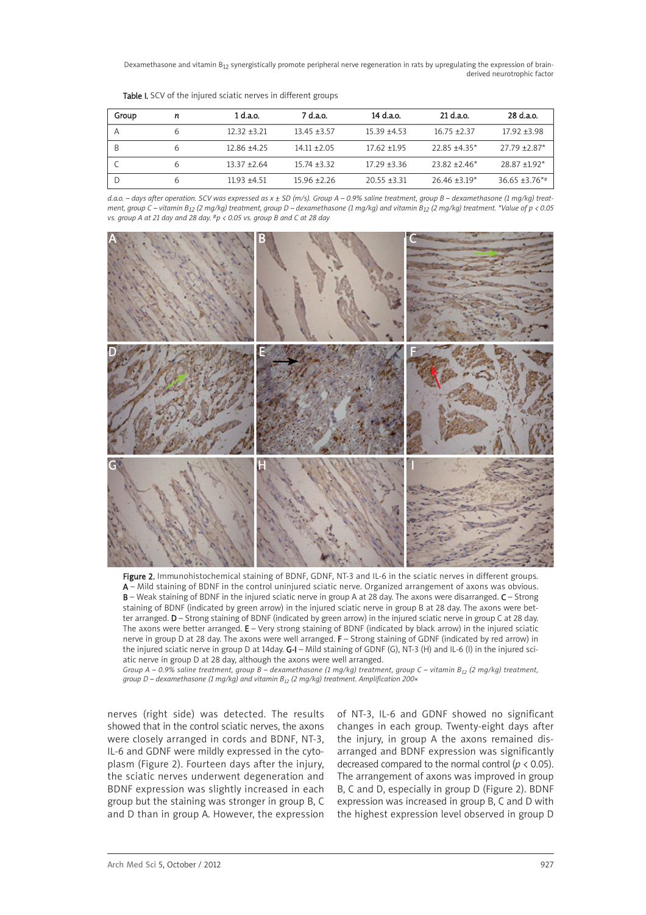Dexamethasone and vitamin B<sub>12</sub> synergistically promote peripheral nerve regeneration in rats by upregulating the expression of brainderived neurotrophic factor

| Group | n | 1 d.a.o.       | 7 d.a.o.       | 14 d.a.o.      | 21 d.a.o.         | 28 d.a.o.          |
|-------|---|----------------|----------------|----------------|-------------------|--------------------|
| Α     |   | $12.32 + 3.21$ | $13.45 + 3.57$ | $15.39 + 4.53$ | $16.75 + 2.37$    | $17.92 \pm 3.98$   |
| B     |   | $12.86 + 4.25$ | $14.11 + 2.05$ | $17.62 + 1.95$ | $22.85 + 4.35*$   | $27.79 + 2.87*$    |
|       |   | $13.37 + 2.64$ | $15.74 + 3.32$ | $17.29 + 3.36$ | $23.82 + 2.46*$   | $28.87 + 1.92*$    |
| D     |   | $11.93 + 4.51$ | $15.96 + 2.26$ | $20.55 + 3.31$ | $26.46 \pm 3.19*$ | $36.65 \pm 3.76**$ |

Table I. SCV of the injured sciatic nerves in different groups

*d.a.o. – days after operation. SCV was expressed as x ± SD (m/s). Group A – 0.9% saline treatment, group B – dexamethasone (1 mg/kg) treatment, group C – vitamin B12 (2 mg/kg) treatment, group D – dexamethasone (1 mg/kg) and vitamin B12 (2 mg/kg) treatment. \*Value of p < 0.05 vs. group A at 21 day and 28 day. #p < 0.05 vs. group B and C at 28 day*



Figure 2. Immunohistochemical staining of BDNF, GDNF, NT-3 and IL-6 in the sciatic nerves in different groups. A – Mild staining of BDNF in the control uninjured sciatic nerve. Organized arrangement of axons was obvious. B – Weak staining of BDNF in the injured sciatic nerve in group A at 28 day. The axons were disarranged. C – Strong staining of BDNF (indicated by green arrow) in the injured sciatic nerve in group B at 28 day. The axons were better arranged. D - Strong staining of BDNF (indicated by green arrow) in the injured sciatic nerve in group C at 28 day. The axons were better arranged. E – Very strong staining of BDNF (indicated by black arrow) in the injured sciatic nerve in group D at 28 day. The axons were well arranged. F – Strong staining of GDNF (indicated by red arrow) in the injured sciatic nerve in group D at 14day. G-I – Mild staining of GDNF (G), NT-3 (H) and IL-6 (I) in the injured sciatic nerve in group D at 28 day, although the axons were well arranged.

*Group A – 0.9% saline treatment, group B – dexamethasone (1 mg/kg) treatment, group C – vitamin B12 (2 mg/kg) treatment, group D – dexamethasone (1 mg/kg) and vitamin B12 (2 mg/kg) treatment. Amplification 200×*

nerves (right side) was detected. The results showed that in the control sciatic nerves, the axons were closely arranged in cords and BDNF, NT-3, IL-6 and GDNF were mildly expressed in the cytoplasm (Figure 2). Fourteen days after the injury, the sciatic nerves underwent degeneration and BDNF expression was slightly increased in each group but the staining was stronger in group B, C and D than in group A. However, the expression of NT-3, IL-6 and GDNF showed no significant changes in each group. Twenty-eight days after the injury, in group A the axons remained disarranged and BDNF expression was significantly decreased compared to the normal control ( $p < 0.05$ ). The arrangement of axons was improved in group B, C and D, especially in group D (Figure 2). BDNF expression was increased in group B, C and D with the highest expression level observed in group D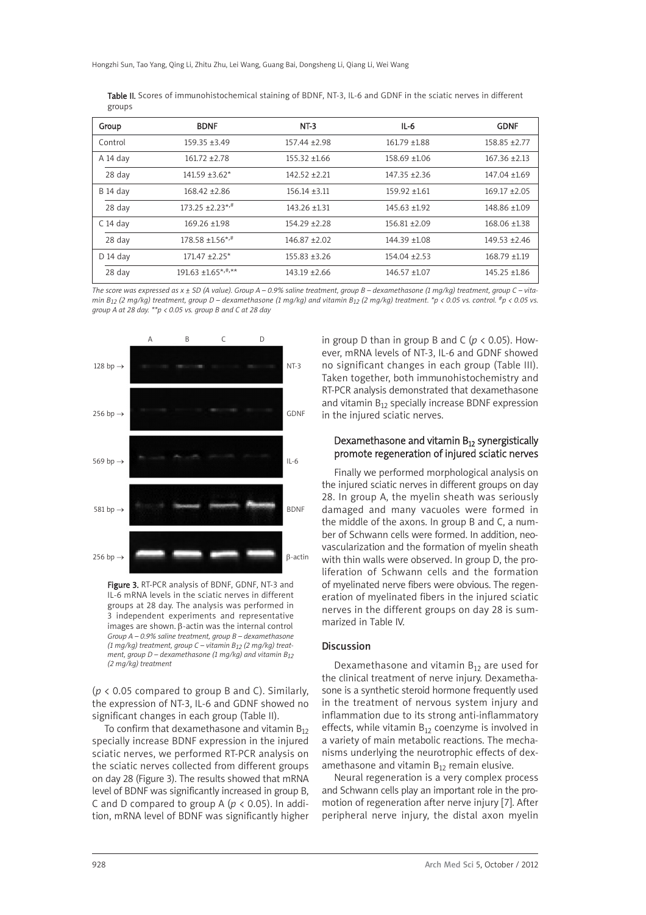Hongzhi Sun, Tao Yang, Qing Li, Zhitu Zhu, Lei Wang, Guang Bai, Dongsheng Li, Qiang Li, Wei Wang

| Table II. Scores of immunohistochemical staining of BDNF, NT-3, IL-6 and GDNF in the sciatic nerves in different |  |  |  |
|------------------------------------------------------------------------------------------------------------------|--|--|--|
| groups                                                                                                           |  |  |  |

| Group           | <b>BDNF</b>                    | $NT-3$            | $IL-6$            | <b>GDNF</b>       |
|-----------------|--------------------------------|-------------------|-------------------|-------------------|
| Control         | $159.35 + 3.49$                | 157.44 ±2.98      | $161.79 \pm 1.88$ | 158.85 ±2.77      |
| A 14 day        | $161.72 + 2.78$                | $155.32 + 1.66$   | 158.69 ±1.06      | $167.36 \pm 2.13$ |
| 28 day          | $141.59 + 3.62*$               | $142.52 \pm 2.21$ | $147.35 + 2.36$   | $147.04 + 1.69$   |
| <b>B</b> 14 day | $168.42 + 2.86$                | $156.14 + 3.11$   | $159.92 + 1.61$   | $169.17 + 2.05$   |
| 28 day          | $173.25 + 2.23^{*,#}$          | 143.26 ±1.31      | $145.63 + 1.92$   | 148.86 ±1.09      |
| $C$ 14 day      | $169.26 + 1.98$                | $154.29 \pm 2.28$ | $156.81 + 2.09$   | 168.06 ±1.38      |
| 28 day          | $178.58 + 1.56$ <sup>*,#</sup> | $146.87 + 2.02$   | $144.39 + 1.08$   | $149.53 + 2.46$   |
| $D$ 14 day      | $171.47 \pm 2.25$ *            | $155.83 \pm 3.26$ | $154.04 \pm 2.53$ | $168.79 \pm 1.19$ |
| 28 day          | $191.63 \pm 1.65^{*,#,**}$     | $143.19 + 2.66$   | $146.57 + 1.07$   | $145.25 + 1.86$   |

*The score was expressed as x ± SD (A value). Group A – 0.9% saline treatment, group B – dexamethasone (1 mg/kg) treatment, group C – vitamin B12 (2 mg/kg) treatment, group D – dexamethasone (1 mg/kg) and vitamin B12 (2 mg/kg) treatment. \*p < 0.05 vs. control. #p < 0.05 vs. group A at 28 day. \*\*p < 0.05 vs. group B and C at 28 day*



Figure 3. RT-PCR analysis of BDNF, GDNF, NT-3 and IL-6 mRNA levels in the sciatic nerves in different groups at 28 day. The analysis was performed in 3 in dependent experiments and representative images are shown. β-actin was the internal control *Group A – 0.9% saline treatment, group B – dexamethasone (1 mg/kg) treatment, group C – vitamin B12 (2 mg/kg) treatment, group D – dexamethasone (1 mg/kg) and vitamin B12 (2 mg/kg) treatment*

(*p* < 0.05 compared to group B and C). Similarly, the expression of NT-3, IL-6 and GDNF showed no significant changes in each group (Table II).

To confirm that dexamethasone and vitamin  $B_{12}$ specially increase BDNF expression in the injured sciatic nerves, we performed RT-PCR analysis on the sciatic nerves collected from different groups on day 28 (Figure 3). The results showed that mRNA level of BDNF was significantly increased in group B, C and D compared to group A ( $p < 0.05$ ). In addition, mRNA level of BDNF was significantly higher in group D than in group B and C ( $p < 0.05$ ). However, mRNA levels of NT-3, IL-6 and GDNF showed no significant changes in each group (Table III). Taken together, both immunohistochemistry and RT-PCR analysis demonstrated that dexamethasone and vitamin  $B_{12}$  specially increase BDNF expression in the injured sciatic nerves.

## Dexamethasone and vitamin  $B_{12}$  synergistically promote regeneration of injured sciatic nerves

Finally we performed morphological analysis on the injured sciatic nerves in different groups on day 28. In group A, the myelin sheath was seriously damaged and many vacuoles were formed in the middle of the axons. In group B and C, a number of Schwann cells were formed. In addition, neovascularization and the formation of myelin sheath with thin walls were observed. In group D, the proliferation of Schwann cells and the formation of myelinated nerve fibers were obvious. The regeneration of myelinated fibers in the injured sciatic nerves in the different groups on day 28 is summarized in Table IV.

## Discussion

Dexamethasone and vitamin  $B_{12}$  are used for the clinical treatment of nerve injury. Dexamethasone is a synthetic steroid hormone frequently used in the treatment of nervous system injury and inflammation due to its strong anti-inflammatory effects, while vitamin  $B_{12}$  coenzyme is involved in a variety of main metabolic reactions. The mechanisms underlying the neurotrophic effects of dexamethasone and vitamin  $B_{12}$  remain elusive.

Neural regeneration is a very complex process and Schwann cells play an important role in the promotion of regeneration after nerve injury [7]. After peripheral nerve injury, the distal axon myelin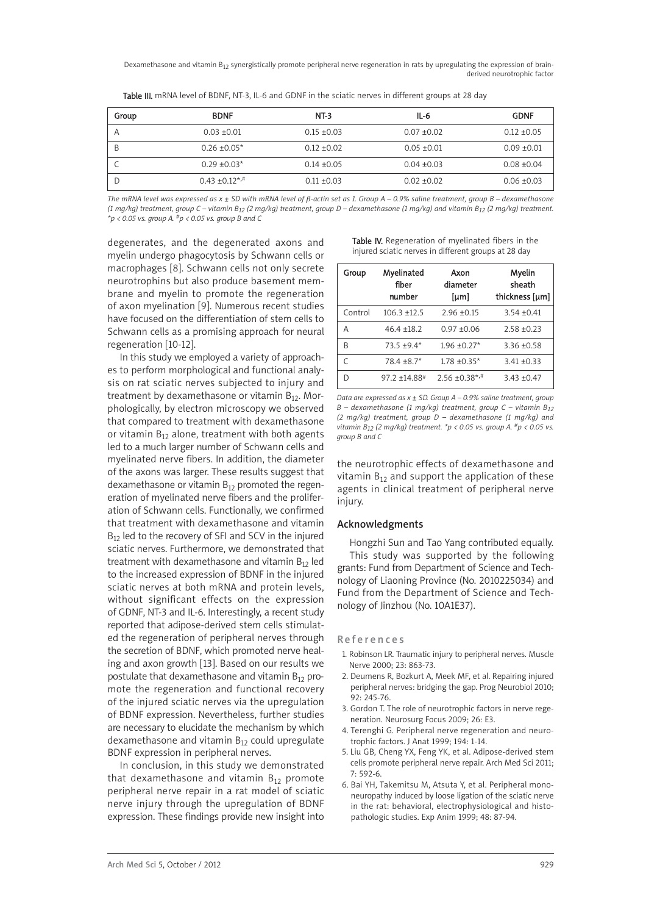Dexamethasone and vitamin B<sub>12</sub> synergistically promote peripheral nerve regeneration in rats by upregulating the expression of brainderived neurotrophic factor

| Group | <b>BDNF</b>           | NT-3          | $IL-6$          | <b>GDNF</b>     |
|-------|-----------------------|---------------|-----------------|-----------------|
| Α     | $0.03 \pm 0.01$       | $0.15 + 0.03$ | $0.07 + 0.02$   | $0.12 \pm 0.05$ |
| B     | $0.26 \pm 0.05^*$     | $0.12 + 0.02$ | $0.05 \pm 0.01$ | $0.09 + 0.01$   |
|       | $0.29 + 0.03*$        | $0.14 + 0.05$ | $0.04 + 0.03$   | $0.08 \pm 0.04$ |
|       | $0.43 \pm 0.12^{*,+}$ | $0.11 + 0.03$ | $0.02 + 0.02$   | $0.06 \pm 0.03$ |

Table III. mRNA level of BDNF, NT-3, IL-6 and GDNF in the sciatic nerves in different groups at 28 day

*The mRNA level was expressed as x ± SD with mRNA level of* β*-actin set as 1. Group A – 0.9% saline treatment, group B – dexamethasone (1 mg/kg) treatment, group C – vitamin B12 (2 mg/kg) treatment, group D – dexamethasone (1 mg/kg) and vitamin B12 (2 mg/kg) treatment. \*p < 0.05 vs. group A. #p < 0.05 vs. group B and C*

degenerates, and the degenerated axons and myelin undergo phagocytosis by Schwann cells or macrophages [8]. Schwann cells not only secrete neurotrophins but also produce basement membrane and myelin to promote the regeneration of axon myelination [9]. Numerous recent studies have focused on the differentiation of stem cells to Schwann cells as a promising approach for neural regeneration [10-12].

In this study we employed a variety of approaches to perform morphological and functional analysis on rat sciatic nerves subjected to injury and treatment by dexamethasone or vitamin  $B_{12}$ . Morphologically, by electron microscopy we observed that compared to treatment with dexamethasone or vitamin  $B_{12}$  alone, treatment with both agents led to a much larger number of Schwann cells and myelinated nerve fibers. In addition, the diameter of the axons was larger. These results suggest that dexamethasone or vitamin  $B_{12}$  promoted the regeneration of myelinated nerve fibers and the proliferation of Schwann cells. Functionally, we confirmed that treatment with dexamethasone and vitamin  $B_{12}$  led to the recovery of SFI and SCV in the injured sciatic nerves. Furthermore, we demonstrated that treatment with dexamethasone and vitamin  $B_{12}$  led to the increased expression of BDNF in the injured sciatic nerves at both mRNA and protein levels, without significant effects on the expression of GDNF, NT-3 and IL-6. Interestingly, a recent study reported that adipose-derived stem cells stimulated the regeneration of peripheral nerves through the secretion of BDNF, which promoted nerve healing and axon growth [13]. Based on our results we postulate that dexamethasone and vitamin  $B_{12}$  promote the regeneration and functional recovery of the injured sciatic nerves via the upregulation of BDNF expression. Nevertheless, further studies are necessary to elucidate the mechanism by which dexamethasone and vitamin  $B_{12}$  could upregulate BDNF expression in peripheral nerves.

In conclusion, in this study we demonstrated that dexamethasone and vitamin  $B_{12}$  promote peripheral nerve repair in a rat model of sciatic nerve injury through the upregulation of BDNF expression. These findings provide new insight into

| Table IV. Regeneration of myelinated fibers in the   |  |  |  |
|------------------------------------------------------|--|--|--|
| injured sciatic nerves in different groups at 28 day |  |  |  |

| Group   | Myelinated<br>fiber<br>number | Axon<br>diameter<br>[µm] | Myelin<br>sheath<br>thickness [µm] |
|---------|-------------------------------|--------------------------|------------------------------------|
| Control | $106.3 + 12.5$                | $2.96 + 0.15$            | $3.54 + 0.41$                      |
| А       | $46.4 + 18.2$                 | $0.97 + 0.06$            | $2.58 + 0.23$                      |
| R       | $73.5 + 9.4*$                 | $1.96 \pm 0.27$ *        | $3.36 + 0.58$                      |
|         | $78.4 \pm 8.7$ *              | $1.78 \pm 0.35*$         | $3.41 + 0.33$                      |
|         | $97.2 + 14.88$ <sup>#</sup>   | $2.56 \pm 0.38$ *,#      | $3.43 + 0.47$                      |

*Data are expressed as x ± SD. Group A – 0.9% saline treatment, group B – dexamethasone (1 mg/kg) treatment, group C – vitamin B12 (2 mg/kg) treatment, group D – dexamethasone (1 mg/kg) and vitamin B12 (2 mg/kg) treatment. \*p < 0.05 vs. group A. #p < 0.05 vs. group B and C*

the neurotrophic effects of dexamethasone and vitamin  $B_{12}$  and support the application of these agents in clinical treatment of peripheral nerve injury.

#### Acknowledgments

Hongzhi Sun and Tao Yang contributed equally. This study was supported by the following grants: Fund from Department of Science and Technology of Liaoning Province (No. 2010225034) and Fund from the Department of Science and Technology of Jinzhou (No. 10A1E37).

#### References

- 1. Robinson LR. Traumatic injury to peripheral nerves. Muscle Nerve 2000; 23: 863-73.
- 2. Deumens R, Bozkurt A, Meek MF, et al. Repairing injured peripheral nerves: bridging the gap. Prog Neurobiol 2010; 92: 245-76.
- 3. Gordon T. The role of neurotrophic factors in nerve rege neration. Neurosurg Focus 2009; 26: E3.
- 4. Terenghi G. Peripheral nerve regeneration and neurotrophic factors. J Anat 1999; 194: 1-14.
- 5. Liu GB, Cheng YX, Feng YK, et al. Adipose-derived stem cells promote peripheral nerve repair. Arch Med Sci 2011; 7: 592-6.
- 6. Bai YH, Takemitsu M, Atsuta Y, et al. Peripheral mononeuropathy induced by loose ligation of the sciatic nerve in the rat: behavioral, electrophysiological and histopathologic studies. Exp Anim 1999; 48: 87-94.